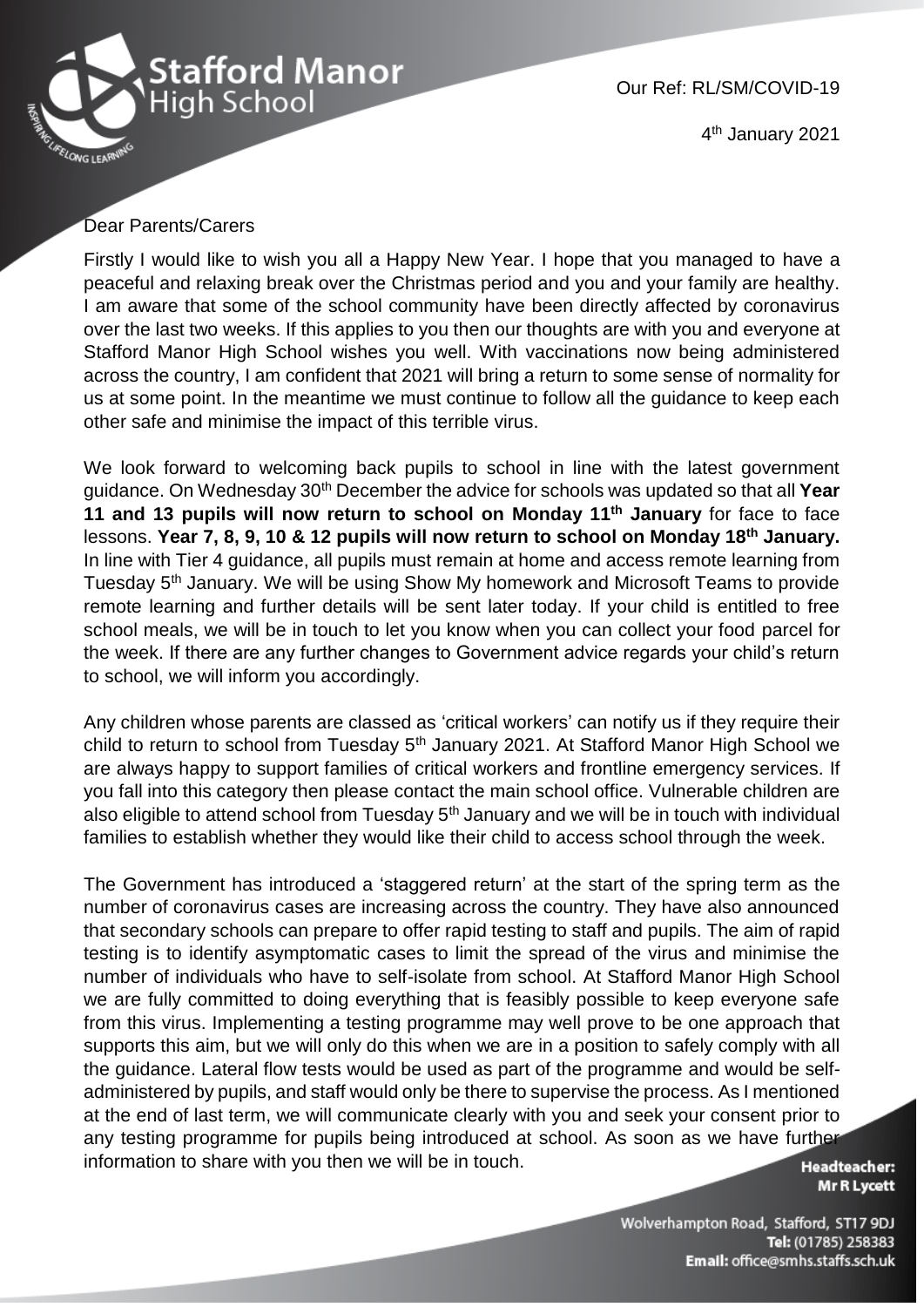

Our Ref: RL/SM/COVID-19

4<sup>th</sup> January 2021

## Dear Parents/Carers

Firstly I would like to wish you all a Happy New Year. I hope that you managed to have a peaceful and relaxing break over the Christmas period and you and your family are healthy. I am aware that some of the school community have been directly affected by coronavirus over the last two weeks. If this applies to you then our thoughts are with you and everyone at Stafford Manor High School wishes you well. With vaccinations now being administered across the country, I am confident that 2021 will bring a return to some sense of normality for us at some point. In the meantime we must continue to follow all the guidance to keep each other safe and minimise the impact of this terrible virus.

We look forward to welcoming back pupils to school in line with the latest government guidance. On Wednesday 30th December the advice for schools was updated so that all **Year 11 and 13 pupils will now return to school on Monday 11th January** for face to face lessons. **Year 7, 8, 9, 10 & 12 pupils will now return to school on Monday 18th January.**  In line with Tier 4 guidance, all pupils must remain at home and access remote learning from Tuesday 5th January. We will be using Show My homework and Microsoft Teams to provide remote learning and further details will be sent later today. If your child is entitled to free school meals, we will be in touch to let you know when you can collect your food parcel for the week. If there are any further changes to Government advice regards your child's return to school, we will inform you accordingly.

Any children whose parents are classed as 'critical workers' can notify us if they require their child to return to school from Tuesday 5<sup>th</sup> January 2021. At Stafford Manor High School we are always happy to support families of critical workers and frontline emergency services. If you fall into this category then please contact the main school office. Vulnerable children are also eligible to attend school from Tuesday  $5<sup>th</sup>$  January and we will be in touch with individual families to establish whether they would like their child to access school through the week.

The Government has introduced a 'staggered return' at the start of the spring term as the number of coronavirus cases are increasing across the country. They have also announced that secondary schools can prepare to offer rapid testing to staff and pupils. The aim of rapid testing is to identify asymptomatic cases to limit the spread of the virus and minimise the number of individuals who have to self-isolate from school. At Stafford Manor High School we are fully committed to doing everything that is feasibly possible to keep everyone safe from this virus. Implementing a testing programme may well prove to be one approach that supports this aim, but we will only do this when we are in a position to safely comply with all the guidance. Lateral flow tests would be used as part of the programme and would be selfadministered by pupils, and staff would only be there to supervise the process. As I mentioned at the end of last term, we will communicate clearly with you and seek your consent prior to any testing programme for pupils being introduced at school. As soon as we have further information to share with you then we will be in touch.

**Headteacher:** Mr R Lycett

Wolverhampton Road, Stafford, ST17 9DJ Tel: (01785) 258383 Email: office@smhs.staffs.sch.uk